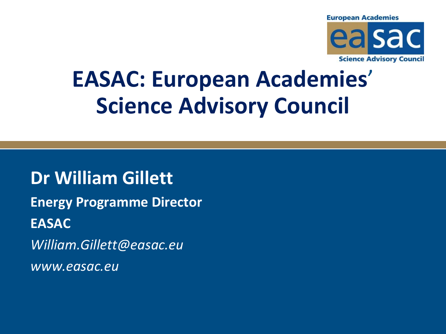

# **EASAC: European Academies**' **Science Advisory Council**

**Dr William Gillett Energy Programme Director EASAC** *William.Gillett@easac.eu www.easac.eu*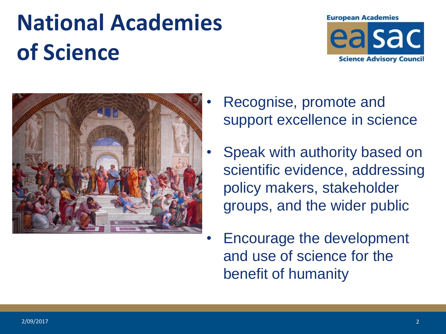# **National Academies of Science**





- Recognise, promote and support excellence in science
- Speak with authority based on scientific evidence, addressing policy makers, stakeholder groups, and the wider public
- Encourage the development and use of science for the benefit of humanity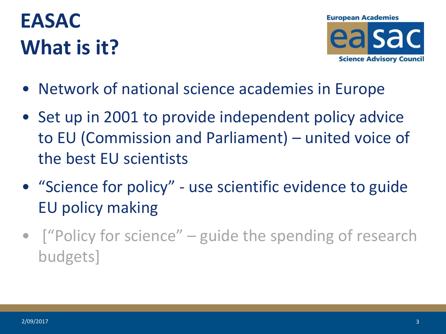## **EASAC What is it?**



- Network of national science academies in Europe
- Set up in 2001 to provide independent policy advice to EU (Commission and Parliament) – united voice of the best EU scientists
- "Science for policy" use scientific evidence to guide EU policy making
- I "Policy for science" guide the spending of research budgets]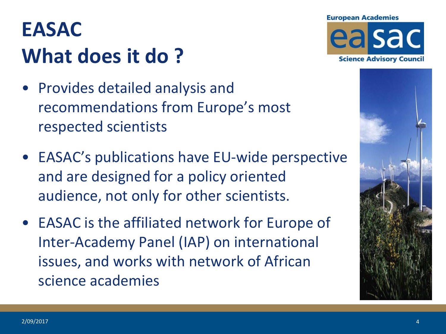### **EASAC What does it do ?**

- Provides detailed analysis and recommendations from Europe's most respected scientists
- EASAC's publications have EU-wide perspective and are designed for a policy oriented audience, not only for other scientists.
- EASAC is the affiliated network for Europe of Inter-Academy Panel (IAP) on international issues, and works with network of African science academies



### **European Academies** easac

**Science Advisory Council** 

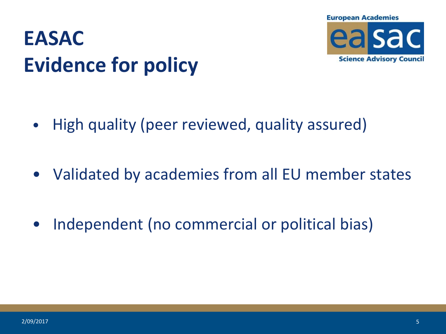

### **EASAC Evidence for policy**

- High quality (peer reviewed, quality assured)
- Validated by academies from all EU member states
- Independent (no commercial or political bias)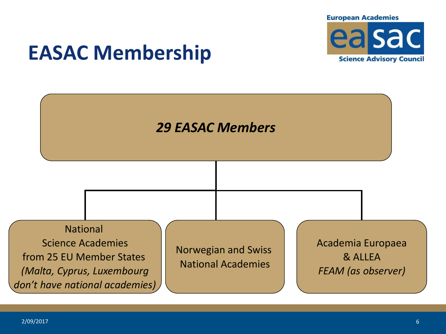

### **EASAC Membership**

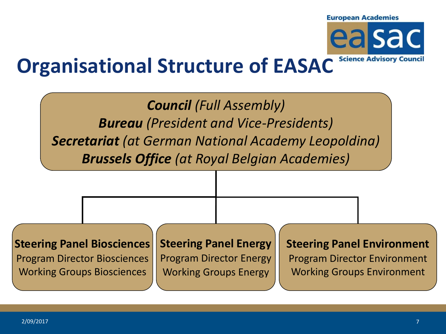**European Academies** 



#### **Science Advisory Council Organisational Structure of EASAC**

*Council (Full Assembly) Bureau (President and Vice-Presidents) Secretariat (at German National Academy Leopoldina) Brussels Office (at Royal Belgian Academies)*

**Steering Panel Biosciences**

Program Director Biosciences Working Groups Biosciences

**Steering Panel Energy** Program Director Energy

Working Groups Energy

#### **Steering Panel Environment**

Program Director Environment Working Groups Environment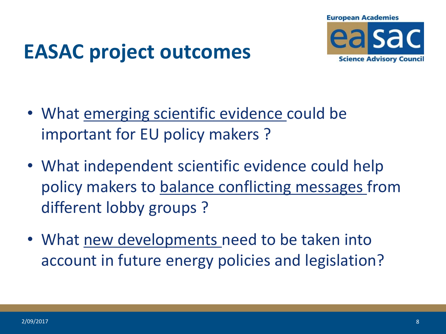

### **EASAC project outcomes**

- What emerging scientific evidence could be important for EU policy makers ?
- What independent scientific evidence could help policy makers to balance conflicting messages from different lobby groups ?
- What new developments need to be taken into account in future energy policies and legislation?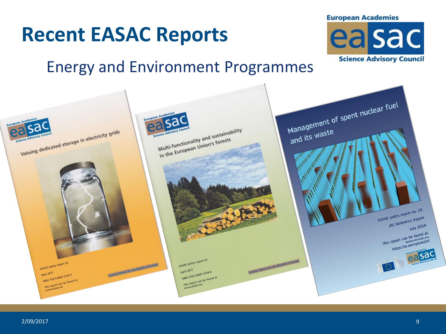

EASAC policy report 33

ISBN: 978-3-8047-312<br>This report can be found at

May 2017 May 2017<br>ISBN: 978-3-8047-3729-7





EASAC policy report 32

ISBN: 978-3-8047-372<br>This report can be found at

**April 2017** April 2017<br>15BN: 978-3-8047-3728-0 Science Advice for the Benefit of Europe

### **Recent EASAC Reports**

Science Advice for the Benefit of Europe

### **European Academies** easac

**Science Advisory Council**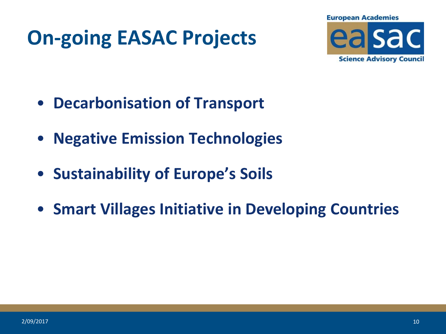## **On-going EASAC Projects**



- **Decarbonisation of Transport**
- **Negative Emission Technologies**
- **Sustainability of Europe's Soils**
- **Smart Villages Initiative in Developing Countries**